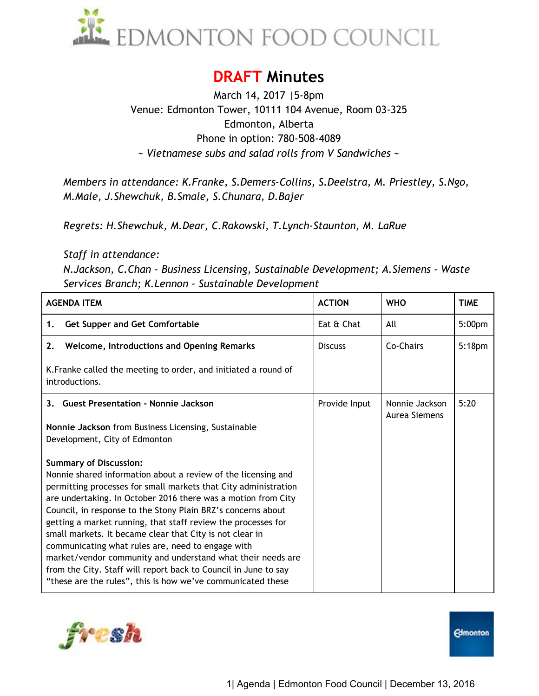

# **DRAFT Minutes**

March 14, 2017 |5-8pm Venue: Edmonton Tower, 10111 104 Avenue, Room 03-325 Edmonton, Alberta Phone in option: 780-508-4089 *~ Vietnamese subs and salad rolls from V Sandwiches ~* 

*Members in attendance: K.Franke, S.Demers-Collins, S.Deelstra, M. Priestley, S.Ngo, M.Male, J.Shewchuk, B.Smale, S.Chunara, D.Bajer* 

*Regrets: H.Shewchuk, M.Dear, C.Rakowski, T.Lynch-Staunton, M. LaRue*

*Staff in attendance:* 

*N.Jackson, C.Chan - Business Licensing, Sustainable Development; A.Siemens - Waste Services Branch; K.Lennon - Sustainable Development* 

| <b>AGENDA ITEM</b>                                                                                                                                                                                                                                                                                                                                                                                                                                                                                                                                                                                                                                                                    | <b>ACTION</b>  | <b>WHO</b>                      | <b>TIME</b>        |
|---------------------------------------------------------------------------------------------------------------------------------------------------------------------------------------------------------------------------------------------------------------------------------------------------------------------------------------------------------------------------------------------------------------------------------------------------------------------------------------------------------------------------------------------------------------------------------------------------------------------------------------------------------------------------------------|----------------|---------------------------------|--------------------|
| <b>Get Supper and Get Comfortable</b><br>1.                                                                                                                                                                                                                                                                                                                                                                                                                                                                                                                                                                                                                                           | Eat & Chat     | All                             | 5:00 <sub>pm</sub> |
| <b>Welcome, Introductions and Opening Remarks</b><br>2.                                                                                                                                                                                                                                                                                                                                                                                                                                                                                                                                                                                                                               | <b>Discuss</b> | Co-Chairs                       | 5:18 <sub>pm</sub> |
| K. Franke called the meeting to order, and initiated a round of<br>introductions.                                                                                                                                                                                                                                                                                                                                                                                                                                                                                                                                                                                                     |                |                                 |                    |
| 3. Guest Presentation - Nonnie Jackson                                                                                                                                                                                                                                                                                                                                                                                                                                                                                                                                                                                                                                                | Provide Input  | Nonnie Jackson<br>Aurea Siemens | 5:20               |
| Nonnie Jackson from Business Licensing, Sustainable<br>Development, City of Edmonton                                                                                                                                                                                                                                                                                                                                                                                                                                                                                                                                                                                                  |                |                                 |                    |
| <b>Summary of Discussion:</b><br>Nonnie shared information about a review of the licensing and<br>permitting processes for small markets that City administration<br>are undertaking. In October 2016 there was a motion from City<br>Council, in response to the Stony Plain BRZ's concerns about<br>getting a market running, that staff review the processes for<br>small markets. It became clear that City is not clear in<br>communicating what rules are, need to engage with<br>market/vendor community and understand what their needs are<br>from the City. Staff will report back to Council in June to say<br>"these are the rules", this is how we've communicated these |                |                                 |                    |



**Edmonton**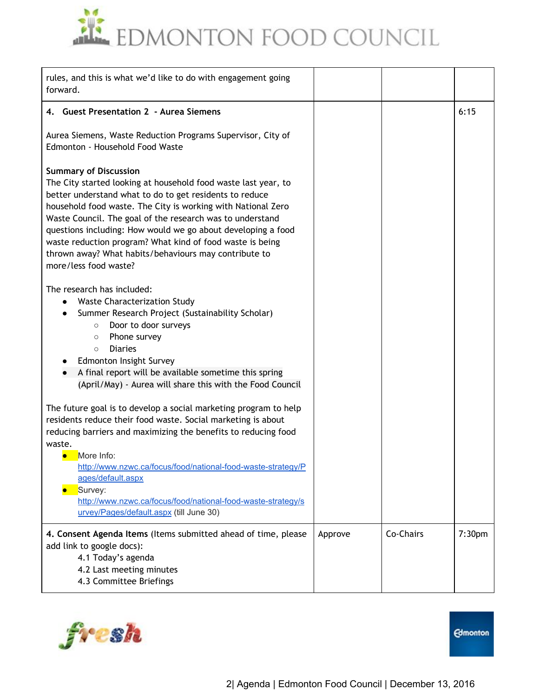

| rules, and this is what we'd like to do with engagement going<br>forward.                                                                                                                                                                                                                                                                                                                                                                                                                             |         |           |                    |
|-------------------------------------------------------------------------------------------------------------------------------------------------------------------------------------------------------------------------------------------------------------------------------------------------------------------------------------------------------------------------------------------------------------------------------------------------------------------------------------------------------|---------|-----------|--------------------|
| 4. Guest Presentation 2 - Aurea Siemens                                                                                                                                                                                                                                                                                                                                                                                                                                                               |         |           | 6:15               |
| Aurea Siemens, Waste Reduction Programs Supervisor, City of<br>Edmonton - Household Food Waste                                                                                                                                                                                                                                                                                                                                                                                                        |         |           |                    |
| <b>Summary of Discussion</b><br>The City started looking at household food waste last year, to<br>better understand what to do to get residents to reduce<br>household food waste. The City is working with National Zero<br>Waste Council. The goal of the research was to understand<br>questions including: How would we go about developing a food<br>waste reduction program? What kind of food waste is being<br>thrown away? What habits/behaviours may contribute to<br>more/less food waste? |         |           |                    |
| The research has included:<br><b>Waste Characterization Study</b><br>Summer Research Project (Sustainability Scholar)<br>Door to door surveys<br>$\circ$<br>Phone survey<br>$\circ$<br><b>Diaries</b><br>$\circ$<br>Edmonton Insight Survey<br>A final report will be available sometime this spring<br>(April/May) - Aurea will share this with the Food Council                                                                                                                                     |         |           |                    |
| The future goal is to develop a social marketing program to help<br>residents reduce their food waste. Social marketing is about<br>reducing barriers and maximizing the benefits to reducing food<br>waste.<br>More Info:<br>$\bullet$<br>http://www.nzwc.ca/focus/food/national-food-waste-strategy/P<br>ages/default.aspx<br>Survey:<br>http://www.nzwc.ca/focus/food/national-food-waste-strategy/s<br>urvey/Pages/default.aspx (till June 30)                                                    |         |           |                    |
| 4. Consent Agenda Items (Items submitted ahead of time, please<br>add link to google docs):<br>4.1 Today's agenda<br>4.2 Last meeting minutes<br>4.3 Committee Briefings                                                                                                                                                                                                                                                                                                                              | Approve | Co-Chairs | 7:30 <sub>pm</sub> |

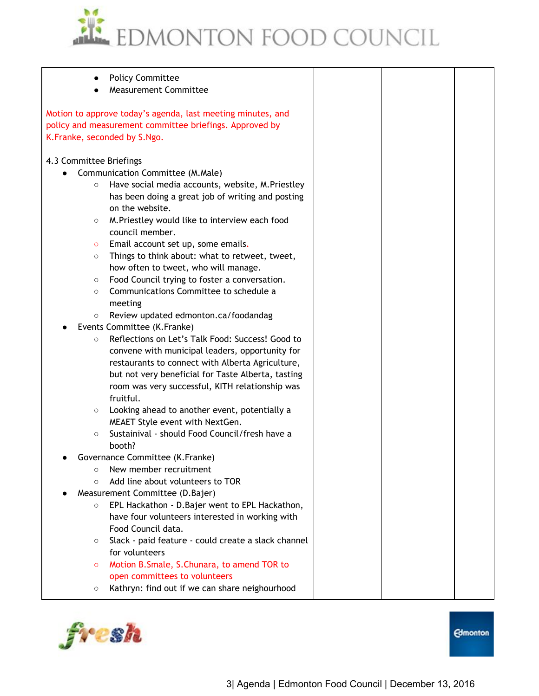

|                         | <b>Policy Committee</b><br><b>Measurement Committee</b>                                                                                                |  |  |
|-------------------------|--------------------------------------------------------------------------------------------------------------------------------------------------------|--|--|
|                         | Motion to approve today's agenda, last meeting minutes, and<br>policy and measurement committee briefings. Approved by<br>K.Franke, seconded by S.Ngo. |  |  |
| 4.3 Committee Briefings |                                                                                                                                                        |  |  |
|                         | Communication Committee (M.Male)                                                                                                                       |  |  |
| $\circ$                 | Have social media accounts, website, M.Priestley                                                                                                       |  |  |
|                         | has been doing a great job of writing and posting                                                                                                      |  |  |
|                         | on the website.                                                                                                                                        |  |  |
| $\circ$                 | M. Priestley would like to interview each food                                                                                                         |  |  |
|                         | council member.                                                                                                                                        |  |  |
| $\circ$                 | Email account set up, some emails.                                                                                                                     |  |  |
| $\circ$                 | Things to think about: what to retweet, tweet,                                                                                                         |  |  |
|                         | how often to tweet, who will manage.                                                                                                                   |  |  |
| $\circ$                 | Food Council trying to foster a conversation.                                                                                                          |  |  |
| $\circ$                 | Communications Committee to schedule a                                                                                                                 |  |  |
|                         | meeting                                                                                                                                                |  |  |
| $\bigcirc$              | Review updated edmonton.ca/foodandag                                                                                                                   |  |  |
|                         | Events Committee (K.Franke)                                                                                                                            |  |  |
| $\circ$                 | Reflections on Let's Talk Food: Success! Good to                                                                                                       |  |  |
|                         | convene with municipal leaders, opportunity for                                                                                                        |  |  |
|                         | restaurants to connect with Alberta Agriculture,                                                                                                       |  |  |
|                         | but not very beneficial for Taste Alberta, tasting                                                                                                     |  |  |
|                         | room was very successful, KITH relationship was                                                                                                        |  |  |
|                         | fruitful.                                                                                                                                              |  |  |
| $\circ$                 | Looking ahead to another event, potentially a                                                                                                          |  |  |
|                         | MEAET Style event with NextGen.                                                                                                                        |  |  |
| $\circ$                 | Sustainival - should Food Council/fresh have a                                                                                                         |  |  |
|                         | booth?                                                                                                                                                 |  |  |
|                         | Governance Committee (K.Franke)                                                                                                                        |  |  |
| $\Omega$                | New member recruitment<br>Add line about volunteers to TOR                                                                                             |  |  |
| $\circ$                 |                                                                                                                                                        |  |  |
| $\circ$                 | Measurement Committee (D.Bajer)<br>EPL Hackathon - D. Bajer went to EPL Hackathon,                                                                     |  |  |
|                         | have four volunteers interested in working with                                                                                                        |  |  |
|                         | Food Council data.                                                                                                                                     |  |  |
| $\circ$                 | Slack - paid feature - could create a slack channel                                                                                                    |  |  |
|                         | for volunteers                                                                                                                                         |  |  |
| $\circ$                 | Motion B.Smale, S.Chunara, to amend TOR to                                                                                                             |  |  |
|                         | open committees to volunteers                                                                                                                          |  |  |
| O                       | Kathryn: find out if we can share neighourhood                                                                                                         |  |  |
|                         |                                                                                                                                                        |  |  |

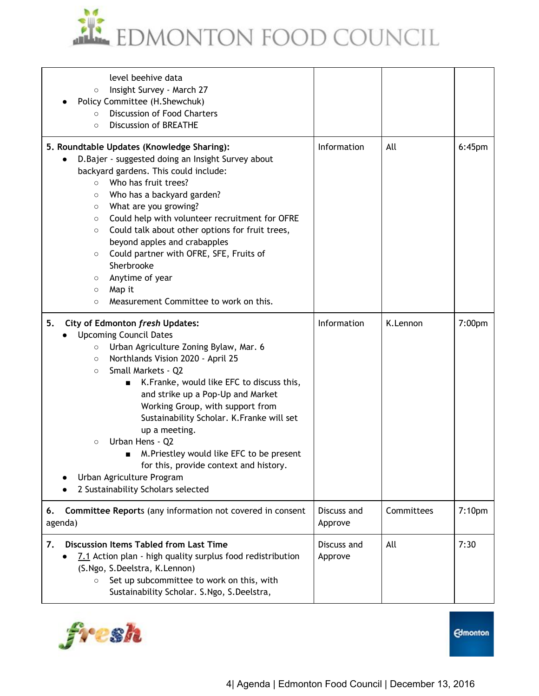

| level beehive data<br>Insight Survey - March 27<br>$\circ$<br>Policy Committee (H. Shewchuk)<br><b>Discussion of Food Charters</b><br>$\circ$<br><b>Discussion of BREATHE</b><br>$\circ$                                                                                                                                                                                                                                                                                                                                                                                                           |                        |            |                    |
|----------------------------------------------------------------------------------------------------------------------------------------------------------------------------------------------------------------------------------------------------------------------------------------------------------------------------------------------------------------------------------------------------------------------------------------------------------------------------------------------------------------------------------------------------------------------------------------------------|------------------------|------------|--------------------|
| 5. Roundtable Updates (Knowledge Sharing):<br>D. Bajer - suggested doing an Insight Survey about<br>backyard gardens. This could include:<br>Who has fruit trees?<br>$\circ$<br>Who has a backyard garden?<br>$\circ$<br>What are you growing?<br>$\circ$<br>Could help with volunteer recruitment for OFRE<br>$\circ$<br>Could talk about other options for fruit trees,<br>$\circ$<br>beyond apples and crabapples<br>Could partner with OFRE, SFE, Fruits of<br>$\circ$<br>Sherbrooke<br>Anytime of year<br>$\circ$<br>Map it<br>$\circ$<br>Measurement Committee to work on this.<br>$\circ$   | Information            | All        | $6:45$ pm          |
| 5.<br>City of Edmonton fresh Updates:<br><b>Upcoming Council Dates</b><br>Urban Agriculture Zoning Bylaw, Mar. 6<br>$\circ$<br>Northlands Vision 2020 - April 25<br>$\circ$<br>Small Markets - Q2<br>$\circ$<br>K.Franke, would like EFC to discuss this,<br>П<br>and strike up a Pop-Up and Market<br>Working Group, with support from<br>Sustainability Scholar. K.Franke will set<br>up a meeting.<br>Urban Hens - Q2<br>$\circ$<br>M. Priestley would like EFC to be present<br>■<br>for this, provide context and history.<br>Urban Agriculture Program<br>2 Sustainability Scholars selected | Information            | K.Lennon   | 7:00pm             |
| Committee Reports (any information not covered in consent<br>6.<br>agenda)                                                                                                                                                                                                                                                                                                                                                                                                                                                                                                                         | Discuss and<br>Approve | Committees | 7:10 <sub>pm</sub> |
| <b>Discussion Items Tabled from Last Time</b><br>7.<br>7.1 Action plan - high quality surplus food redistribution<br>(S.Ngo, S.Deelstra, K.Lennon)<br>Set up subcommittee to work on this, with<br>$\circ$<br>Sustainability Scholar. S.Ngo, S.Deelstra,                                                                                                                                                                                                                                                                                                                                           | Discuss and<br>Approve | All        | 7:30               |

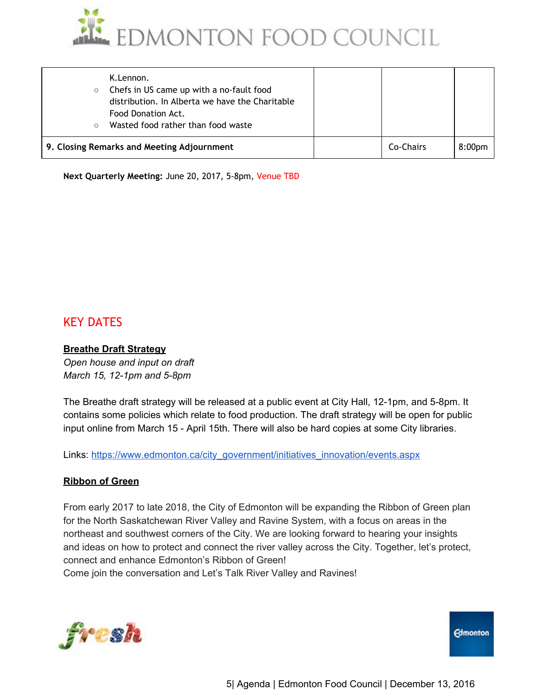

| $\circ$<br>$\circ$ | K.Lennon.<br>Chefs in US came up with a no-fault food<br>distribution. In Alberta we have the Charitable<br>Food Donation Act.<br>Wasted food rather than food waste |           |                    |
|--------------------|----------------------------------------------------------------------------------------------------------------------------------------------------------------------|-----------|--------------------|
|                    | 9. Closing Remarks and Meeting Adjournment                                                                                                                           | Co-Chairs | 8:00 <sub>pm</sub> |

**Next Quarterly Meeting:** June 20, 2017, 5-8pm, Venue TBD

# KEY DATES

#### **Breathe Draft Strategy**

*Open house and input on draft March 15, 12-1pm and 5-8pm* 

The Breathe draft strategy will be released at a public event at City Hall, 12-1pm, and 5-8pm. It contains some policies which relate to food production. The draft strategy will be open for public input online from March 15 - April 15th. There will also be hard copies at some City libraries.

Links: [https://www.edmonton.ca/city\\_government/initiatives\\_innovation/events.aspx](https://www.edmonton.ca/city_government/initiatives_innovation/events.aspx)

# **Ribbon of Green**

From early 2017 to late 2018, the City of Edmonton will be expanding the Ribbon of Green plan for the North Saskatchewan River Valley and Ravine System, with a focus on areas in the northeast and southwest corners of the City. We are looking forward to hearing your insights and ideas on how to protect and connect the river valley across the City. Together, let's protect, connect and enhance Edmonton's Ribbon of Green! Come join the conversation and Let's Talk River Valley and Ravines!



**Edmonton**